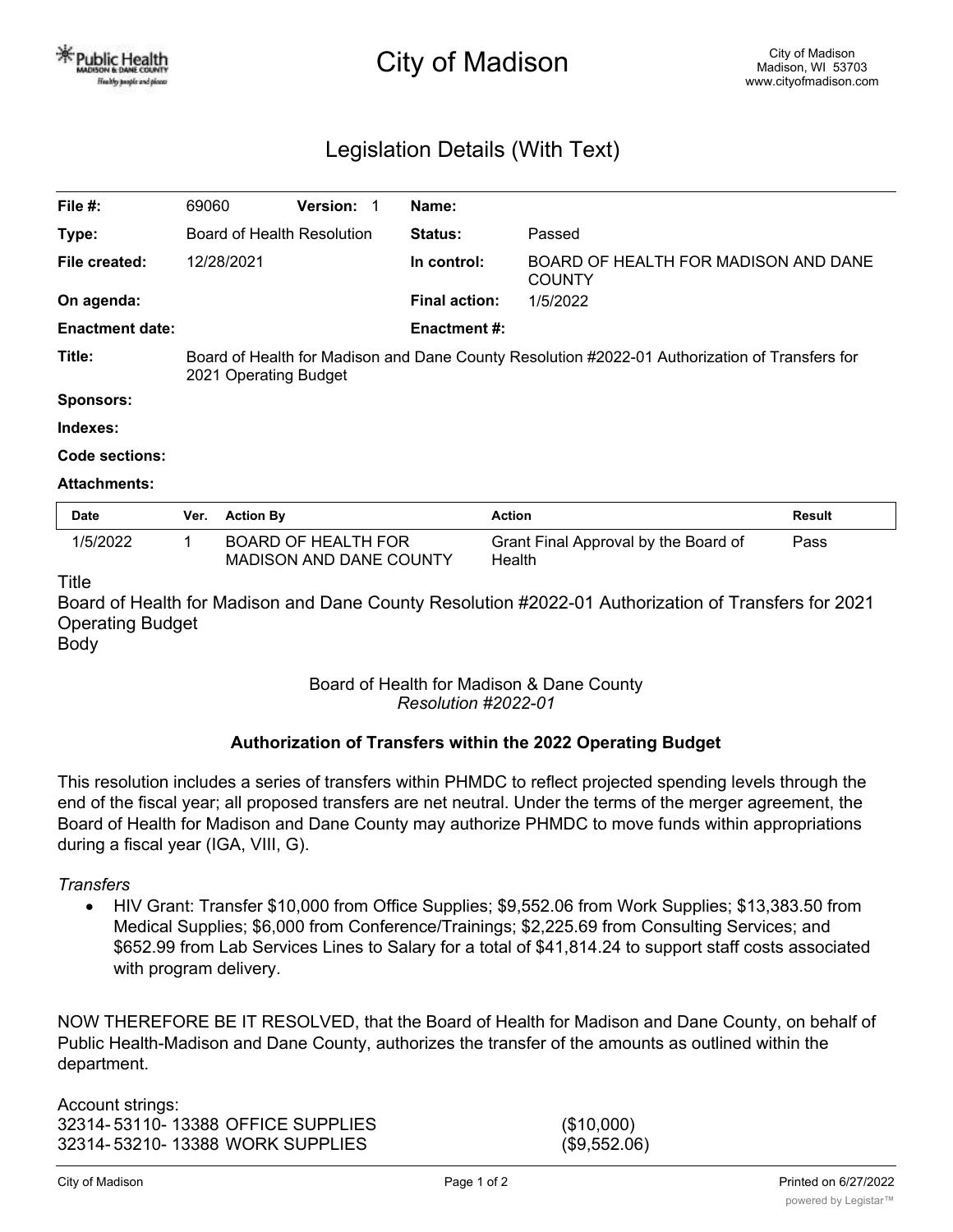# City of Madison

# Legislation Details (With Text)

| File #:                | 69060                                                                                                                   |                  | <b>Version:</b>                                       | Name:                |                                                       |        |
|------------------------|-------------------------------------------------------------------------------------------------------------------------|------------------|-------------------------------------------------------|----------------------|-------------------------------------------------------|--------|
| Type:                  | Board of Health Resolution                                                                                              |                  |                                                       | <b>Status:</b>       | Passed                                                |        |
| File created:          |                                                                                                                         | 12/28/2021       |                                                       | In control:          | BOARD OF HEALTH FOR MADISON AND DANE<br><b>COUNTY</b> |        |
| On agenda:             |                                                                                                                         |                  |                                                       | <b>Final action:</b> | 1/5/2022                                              |        |
| <b>Enactment date:</b> |                                                                                                                         |                  |                                                       | <b>Enactment #:</b>  |                                                       |        |
| Title:                 | Board of Health for Madison and Dane County Resolution #2022-01 Authorization of Transfers for<br>2021 Operating Budget |                  |                                                       |                      |                                                       |        |
| Sponsors:              |                                                                                                                         |                  |                                                       |                      |                                                       |        |
| Indexes:               |                                                                                                                         |                  |                                                       |                      |                                                       |        |
| Code sections:         |                                                                                                                         |                  |                                                       |                      |                                                       |        |
| <b>Attachments:</b>    |                                                                                                                         |                  |                                                       |                      |                                                       |        |
| <b>Date</b>            | Ver.                                                                                                                    | <b>Action By</b> |                                                       |                      | <b>Action</b>                                         | Result |
| 1/5/2022               | 1                                                                                                                       |                  | <b>BOARD OF HEALTH FOR</b><br>MADISON AND DANE COUNTY |                      | Grant Final Approval by the Board of<br>Health        | Pass   |

#### Title

Board of Health for Madison and Dane County Resolution #2022-01 Authorization of Transfers for 2021 Operating Budget

Body

### Board of Health for Madison & Dane County *Resolution #2022-01*

### **Authorization of Transfers within the 2022 Operating Budget**

This resolution includes a series of transfers within PHMDC to reflect projected spending levels through the end of the fiscal year; all proposed transfers are net neutral. Under the terms of the merger agreement, the Board of Health for Madison and Dane County may authorize PHMDC to move funds within appropriations during a fiscal year (IGA, VIII, G).

#### *Transfers*

· HIV Grant: Transfer \$10,000 from Office Supplies; \$9,552.06 from Work Supplies; \$13,383.50 from Medical Supplies; \$6,000 from Conference/Trainings; \$2,225.69 from Consulting Services; and \$652.99 from Lab Services Lines to Salary for a total of \$41,814.24 to support staff costs associated with program delivery.

NOW THEREFORE BE IT RESOLVED, that the Board of Health for Madison and Dane County, on behalf of Public Health-Madison and Dane County, authorizes the transfer of the amounts as outlined within the department.

Account strings: 32314- 53110- 13388 OFFICE SUPPLIES (\$10,000) 32314- 53210- 13388 WORK SUPPLIES (\$9,552.06)